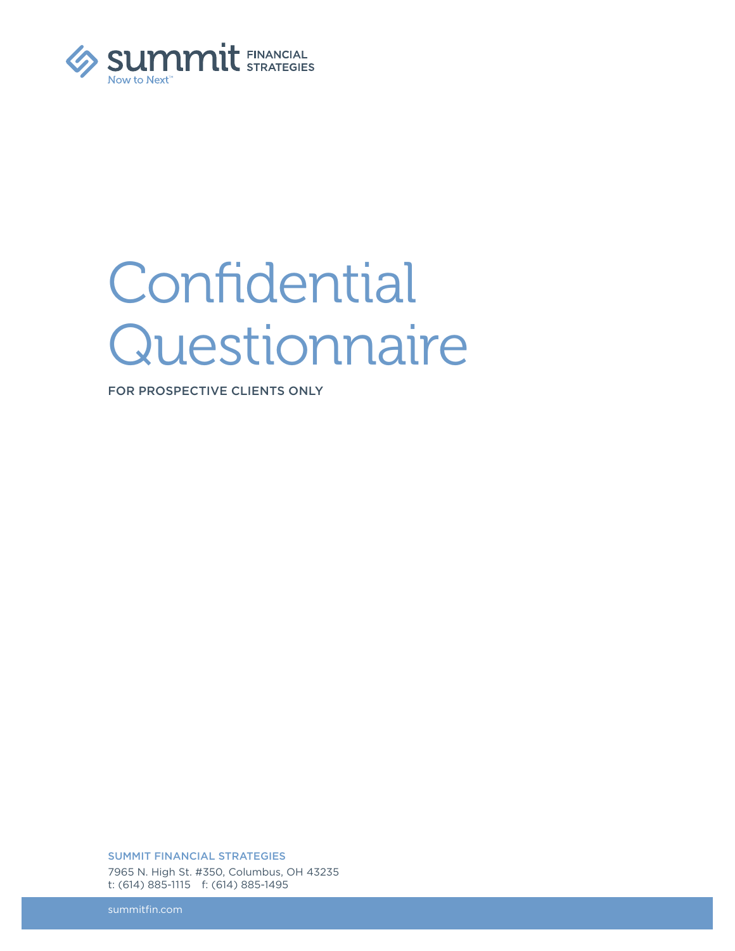

# **Confidential** Questionnaire

FOR PROSPECTIVE CLIENTS ONLY

SUMMIT FINANCIAL STRATEGIES 7965 N. High St. #350, Columbus, OH 43235 t: (614) 885-1115 f: (614) 885-1495

summitfin.com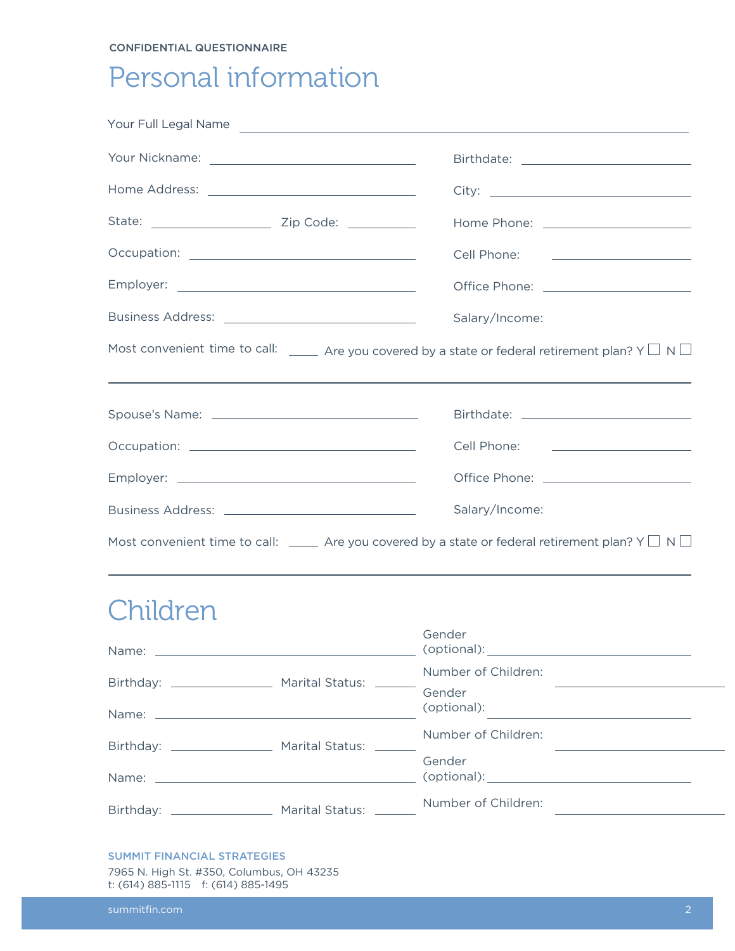#### CONFIDENTIAL QUESTIONNAIRE

### Personal information

|          | Your Full Legal Name                                                                                               |
|----------|--------------------------------------------------------------------------------------------------------------------|
|          | Birthdate: <u>_____________________________</u>                                                                    |
|          |                                                                                                                    |
|          |                                                                                                                    |
|          | Cell Phone: <u>___________________</u>                                                                             |
|          | Office Phone: _______________________                                                                              |
|          | Salary/Income:                                                                                                     |
|          | Most convenient time to call: $\Box$ Are you covered by a state or federal retirement plan? Y $\Box$ N $\Box$      |
|          |                                                                                                                    |
|          |                                                                                                                    |
|          | Cell Phone: <u>___________________</u>                                                                             |
|          | Office Phone: <u>_____________________</u>                                                                         |
|          | Salary/Income:                                                                                                     |
|          | Most convenient time to call: $\_\_\_\_\$ Are you covered by a state or federal retirement plan? Y $\Box$ N $\Box$ |
|          |                                                                                                                    |
| Children |                                                                                                                    |
| Name:    | Gender<br>(optional):                                                                                              |
|          | Number of Children:                                                                                                |
|          | Gender<br>(optional):<br><u> 1989 - John Stein, Amerikaansk politiker (</u>                                        |
|          | Number of Children:                                                                                                |
|          | Gender<br>(optional): <u>www.community.community.community.community.com</u>                                       |
|          | Number of Children:                                                                                                |
|          |                                                                                                                    |

### SUMMIT FINANCIAL STRATEGIES

7965 N. High St. #350, Columbus, OH 43235 t: (614) 885-1115 f: (614) 885-1495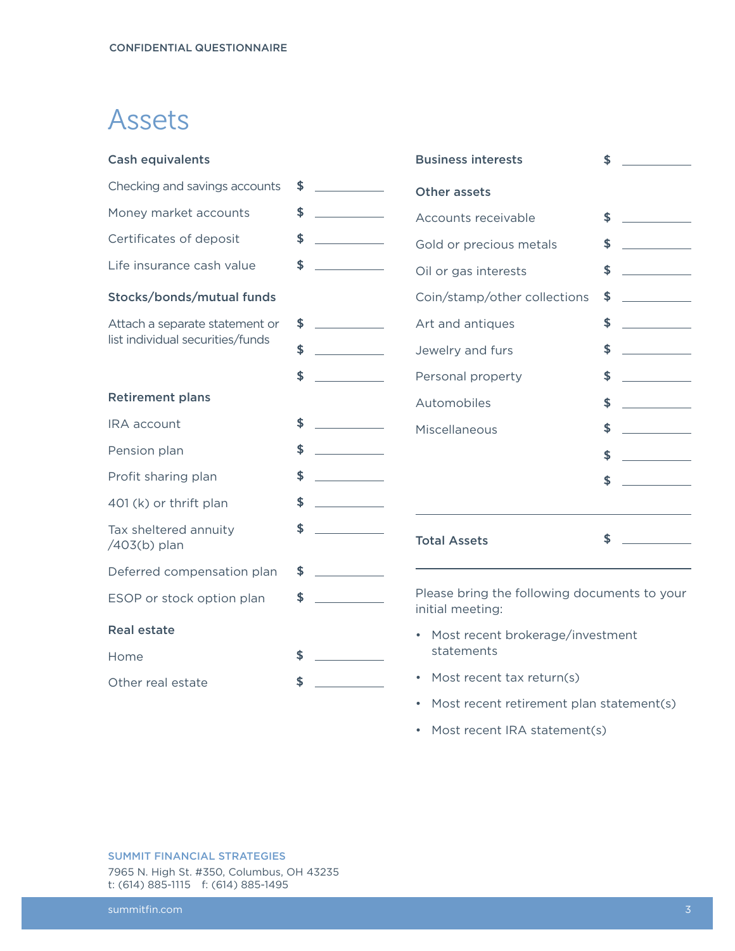### Assets

| <b>Cash equivalents</b>               |    | <b>Business interests</b>                                        | \$ |  |
|---------------------------------------|----|------------------------------------------------------------------|----|--|
| Checking and savings accounts         | \$ | <b>Other assets</b>                                              |    |  |
| Money market accounts                 | \$ | Accounts receivable                                              | \$ |  |
| Certificates of deposit               | \$ | Gold or precious metals                                          | \$ |  |
| Life insurance cash value             | \$ | Oil or gas interests                                             | \$ |  |
| Stocks/bonds/mutual funds             |    | Coin/stamp/other collections                                     | \$ |  |
| Attach a separate statement or        | \$ | Art and antiques                                                 | \$ |  |
| list individual securities/funds      | \$ | Jewelry and furs                                                 | \$ |  |
|                                       | \$ | Personal property                                                | \$ |  |
| <b>Retirement plans</b>               |    | Automobiles                                                      | \$ |  |
| IRA account                           | \$ | Miscellaneous                                                    | \$ |  |
| Pension plan                          | \$ |                                                                  | \$ |  |
| Profit sharing plan                   | \$ |                                                                  | \$ |  |
| 401 (k) or thrift plan                | \$ |                                                                  |    |  |
| Tax sheltered annuity<br>/403(b) plan | \$ | <b>Total Assets</b>                                              | \$ |  |
| Deferred compensation plan            | \$ |                                                                  |    |  |
| ESOP or stock option plan             | \$ | Please bring the following documents to your<br>initial meeting: |    |  |
| <b>Real estate</b>                    |    | Most recent brokerage/investment                                 |    |  |
| Home                                  | \$ | statements                                                       |    |  |
| Other real estate                     | \$ | Most recent tax return(s)<br>$\bullet$                           |    |  |
|                                       |    | Most recent retirement plan statement(s)<br>$\bullet$            |    |  |

• Most recent IRA statement(s)

SUMMIT FINANCIAL STRATEGIES 7965 N. High St. #350, Columbus, OH 43235 t: (614) 885-1115 f: (614) 885-1495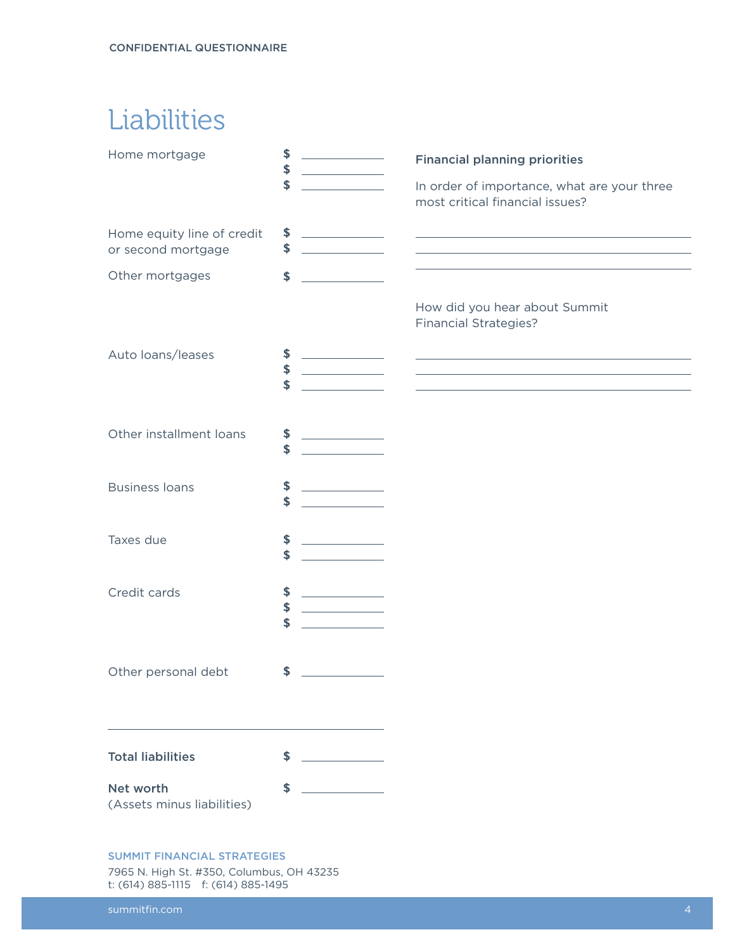## **Liabilities**

| Home mortgage                                    | \$<br>\$<br>\$ |                                   | <b>Financial planning priorities</b><br>In order of importance, what are your three<br>most critical financial issues?                                                                                                                                                   |
|--------------------------------------------------|----------------|-----------------------------------|--------------------------------------------------------------------------------------------------------------------------------------------------------------------------------------------------------------------------------------------------------------------------|
| Home equity line of credit<br>or second mortgage | \$<br>\$       |                                   | <u> 1989 - Johann Barn, fransk politik formuler (d. 1989)</u>                                                                                                                                                                                                            |
| Other mortgages                                  | \$             |                                   |                                                                                                                                                                                                                                                                          |
|                                                  |                |                                   | How did you hear about Summit<br><b>Financial Strategies?</b>                                                                                                                                                                                                            |
| Auto loans/leases                                | \$<br>\$<br>\$ |                                   | <u> 1989 - Andrea Stadt Britain, amerikansk politik (d. 1989)</u><br><u> 1989 - Johann Harry Harry Harry Harry Harry Harry Harry Harry Harry Harry Harry Harry Harry Harry Harry Harry</u><br>the control of the control of the control of the control of the control of |
| Other installment loans                          | \$<br>\$       |                                   |                                                                                                                                                                                                                                                                          |
| <b>Business loans</b>                            | \$<br>\$       |                                   |                                                                                                                                                                                                                                                                          |
| Taxes due                                        | \$<br>\$       |                                   |                                                                                                                                                                                                                                                                          |
| Credit cards                                     | \$<br>\$<br>\$ | <b>Contract Contract Contract</b> |                                                                                                                                                                                                                                                                          |
| Other personal debt                              | \$             |                                   |                                                                                                                                                                                                                                                                          |
| <b>Total liabilities</b>                         | \$             |                                   |                                                                                                                                                                                                                                                                          |
| Net worth<br>(Assets minus liabilities)          | \$             |                                   |                                                                                                                                                                                                                                                                          |

#### SUMMIT FINANCIAL STRATEGIES

7965 N. High St. #350, Columbus, OH 43235 t: (614) 885-1115 f: (614) 885-1495